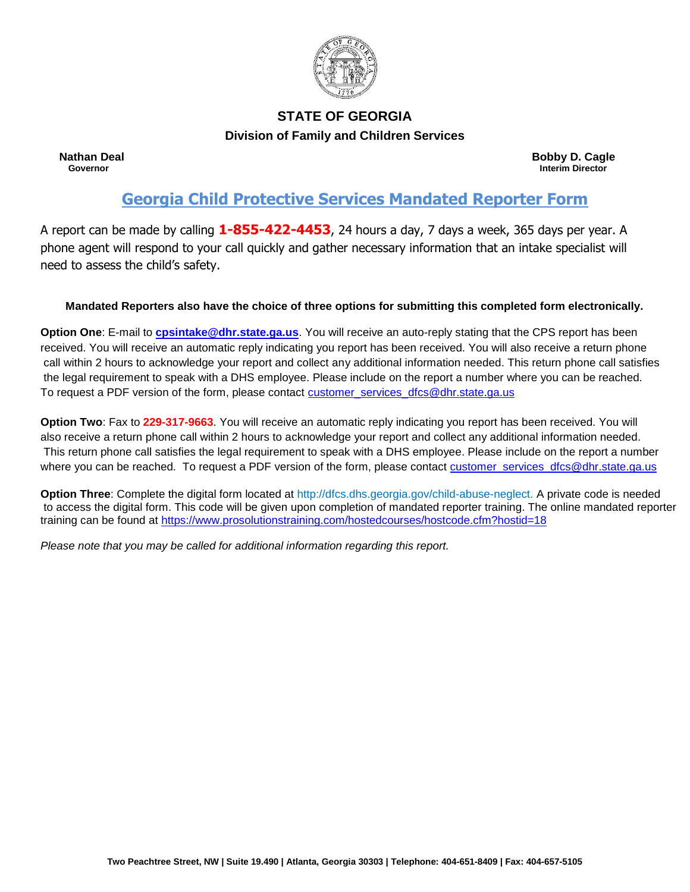

# **STATE OF GEORGIA**

**Division of Family and Children Services**

**Nathan Deal Bobby D. Cagle**<br> **Reference Contract Contract Contract Contract Contract Contract Contract Contract Contract Contract Contract Contract Contract Contract Contract Contract Contract Contract Contract Contract C Governor Interim Director**

# **Georgia Child Protective Services Mandated Reporter Form**

A report can be made by calling **1-855-422-4453**, 24 hours a day, 7 days a week, 365 days per year. A phone agent will respond to your call quickly and gather necessary information that an intake specialist will need to assess the child's safety.

## **Mandated Reporters also have the choice of three options for submitting this completed form electronically.**

**Option One**: E-mail to **[cpsintake@dhr.state.ga.us](mailto:cpsintake@dhr.state.ga.us)**. You will receive an auto-reply stating that the CPS report has been received. You will receive an automatic reply indicating you report has been received. You will also receive a return phone call within 2 hours to acknowledge your report and collect any additional information needed. This return phone call satisfies the legal requirement to speak with a DHS employee. Please include on the report a number where you can be reached. To request a PDF version of the form, please contact [customer\\_services\\_dfcs@dhr.state.ga.us](mailto:customer_services_dfcs@dhr.state.ga.us)

**Option Two**: Fax to **229-317-9663**. You will receive an automatic reply indicating you report has been received. You will also receive a return phone call within 2 hours to acknowledge your report and collect any additional information needed. This return phone call satisfies the legal requirement to speak with a DHS employee. Please include on the report a number where you can be reached. To request a PDF version of the form, please contact [customer\\_services\\_dfcs@dhr.state.ga.us](mailto:customer_services_dfcs@dhr.state.ga.us)

**Option Three**: Complete the digital form located at http://dfcs.dhs.georgia.gov/child-abuse-neglect. A private code is needed to access the digital form. This code will be given upon completion of mandated reporter training. The online mandated reporter training can be found at<https://www.prosolutionstraining.com/hostedcourses/hostcode.cfm?hostid=18>

*Please note that you may be called for additional information regarding this report.*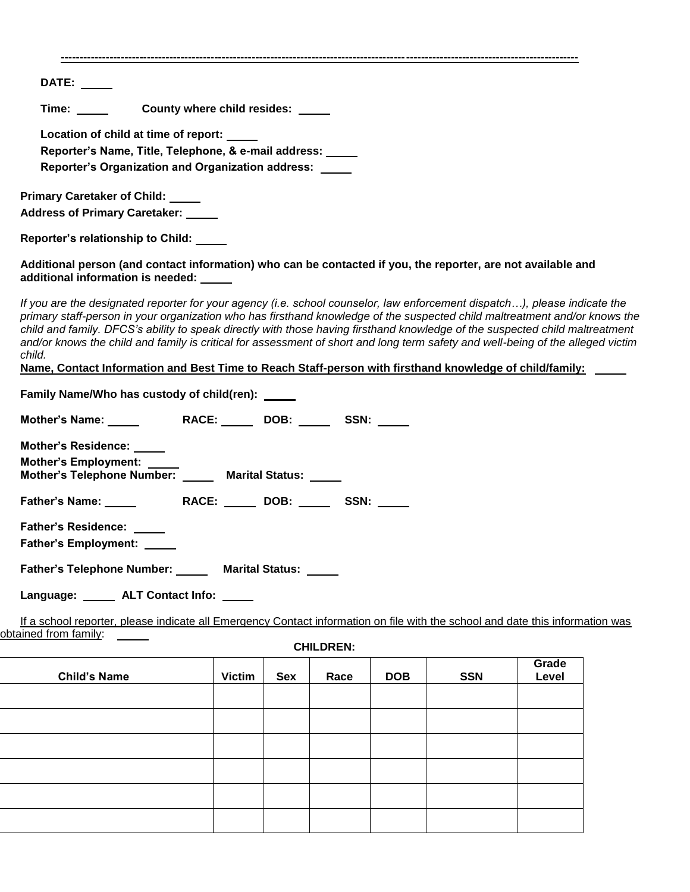| DATE: $\_\_\_\_\_\_\_\_\_\$          |                                                                                                                                                                                                                                                                                                                                                                                                                                                                                                                                                                                                                                       |               |            |                  |            |            |       |
|--------------------------------------|---------------------------------------------------------------------------------------------------------------------------------------------------------------------------------------------------------------------------------------------------------------------------------------------------------------------------------------------------------------------------------------------------------------------------------------------------------------------------------------------------------------------------------------------------------------------------------------------------------------------------------------|---------------|------------|------------------|------------|------------|-------|
| Time: $\_\_$                         | County where child resides: _____                                                                                                                                                                                                                                                                                                                                                                                                                                                                                                                                                                                                     |               |            |                  |            |            |       |
|                                      | Location of child at time of report:                                                                                                                                                                                                                                                                                                                                                                                                                                                                                                                                                                                                  |               |            |                  |            |            |       |
|                                      | Reporter's Name, Title, Telephone, & e-mail address:                                                                                                                                                                                                                                                                                                                                                                                                                                                                                                                                                                                  |               |            |                  |            |            |       |
|                                      | <b>Reporter's Organization and Organization address:</b>                                                                                                                                                                                                                                                                                                                                                                                                                                                                                                                                                                              |               |            |                  |            |            |       |
| <b>Primary Caretaker of Child:</b>   |                                                                                                                                                                                                                                                                                                                                                                                                                                                                                                                                                                                                                                       |               |            |                  |            |            |       |
| <b>Address of Primary Caretaker:</b> |                                                                                                                                                                                                                                                                                                                                                                                                                                                                                                                                                                                                                                       |               |            |                  |            |            |       |
| Reporter's relationship to Child:    |                                                                                                                                                                                                                                                                                                                                                                                                                                                                                                                                                                                                                                       |               |            |                  |            |            |       |
|                                      | Additional person (and contact information) who can be contacted if you, the reporter, are not available and<br>additional information is needed:                                                                                                                                                                                                                                                                                                                                                                                                                                                                                     |               |            |                  |            |            |       |
| child.                               | If you are the designated reporter for your agency (i.e. school counselor, law enforcement dispatch), please indicate the<br>primary staff-person in your organization who has firsthand knowledge of the suspected child maltreatment and/or knows the<br>child and family. DFCS's ability to speak directly with those having firsthand knowledge of the suspected child maltreatment<br>and/or knows the child and family is critical for assessment of short and long term safety and well-being of the alleged victim<br>Name, Contact Information and Best Time to Reach Staff-person with firsthand knowledge of child/family: |               |            |                  |            |            |       |
|                                      | Family Name/Who has custody of child(ren): _____                                                                                                                                                                                                                                                                                                                                                                                                                                                                                                                                                                                      |               |            |                  |            |            |       |
|                                      |                                                                                                                                                                                                                                                                                                                                                                                                                                                                                                                                                                                                                                       |               |            |                  |            |            |       |
|                                      |                                                                                                                                                                                                                                                                                                                                                                                                                                                                                                                                                                                                                                       |               |            |                  |            |            |       |
| <b>Mother's Residence:</b>           |                                                                                                                                                                                                                                                                                                                                                                                                                                                                                                                                                                                                                                       |               |            |                  |            |            |       |
| Mother's Employment: ____            | Mother's Telephone Number: _____ Marital Status: _____                                                                                                                                                                                                                                                                                                                                                                                                                                                                                                                                                                                |               |            |                  |            |            |       |
|                                      |                                                                                                                                                                                                                                                                                                                                                                                                                                                                                                                                                                                                                                       |               |            |                  |            |            |       |
| <b>Father's Residence:</b>           |                                                                                                                                                                                                                                                                                                                                                                                                                                                                                                                                                                                                                                       |               |            |                  |            |            |       |
| <b>Father's Employment:</b>          |                                                                                                                                                                                                                                                                                                                                                                                                                                                                                                                                                                                                                                       |               |            |                  |            |            |       |
|                                      | Father's Telephone Number: Marital Status:                                                                                                                                                                                                                                                                                                                                                                                                                                                                                                                                                                                            |               |            |                  |            |            |       |
|                                      | Language: ______ ALT Contact Info: _____                                                                                                                                                                                                                                                                                                                                                                                                                                                                                                                                                                                              |               |            |                  |            |            |       |
|                                      | If a school reporter, please indicate all Emergency Contact information on file with the school and date this information was                                                                                                                                                                                                                                                                                                                                                                                                                                                                                                         |               |            |                  |            |            |       |
| obtained from family:                |                                                                                                                                                                                                                                                                                                                                                                                                                                                                                                                                                                                                                                       |               |            |                  |            |            |       |
|                                      |                                                                                                                                                                                                                                                                                                                                                                                                                                                                                                                                                                                                                                       |               |            | <b>CHILDREN:</b> |            |            | Grade |
| <b>Child's Name</b>                  |                                                                                                                                                                                                                                                                                                                                                                                                                                                                                                                                                                                                                                       | <b>Victim</b> | <b>Sex</b> | Race             | <b>DOB</b> | <b>SSN</b> | Level |
|                                      |                                                                                                                                                                                                                                                                                                                                                                                                                                                                                                                                                                                                                                       |               |            |                  |            |            |       |
|                                      |                                                                                                                                                                                                                                                                                                                                                                                                                                                                                                                                                                                                                                       |               |            |                  |            |            |       |
|                                      |                                                                                                                                                                                                                                                                                                                                                                                                                                                                                                                                                                                                                                       |               |            |                  |            |            |       |
|                                      |                                                                                                                                                                                                                                                                                                                                                                                                                                                                                                                                                                                                                                       |               |            |                  |            |            |       |
|                                      |                                                                                                                                                                                                                                                                                                                                                                                                                                                                                                                                                                                                                                       |               |            |                  |            |            |       |
|                                      |                                                                                                                                                                                                                                                                                                                                                                                                                                                                                                                                                                                                                                       |               |            |                  |            |            |       |
|                                      |                                                                                                                                                                                                                                                                                                                                                                                                                                                                                                                                                                                                                                       |               |            |                  |            |            |       |
|                                      |                                                                                                                                                                                                                                                                                                                                                                                                                                                                                                                                                                                                                                       |               |            |                  |            |            |       |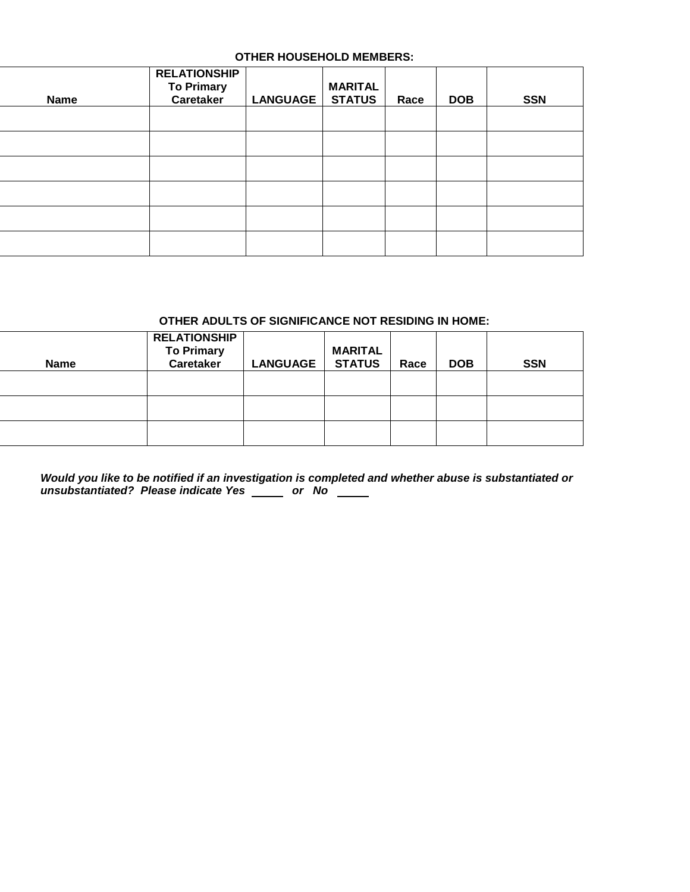### **OTHER HOUSEHOLD MEMBERS:**

| <b>Name</b> | <b>RELATIONSHIP</b><br><b>To Primary</b><br>Caretaker | LANGUAGE | <b>MARITAL</b><br><b>STATUS</b> | Race | <b>DOB</b> | <b>SSN</b> |
|-------------|-------------------------------------------------------|----------|---------------------------------|------|------------|------------|
|             |                                                       |          |                                 |      |            |            |
|             |                                                       |          |                                 |      |            |            |
|             |                                                       |          |                                 |      |            |            |
|             |                                                       |          |                                 |      |            |            |
|             |                                                       |          |                                 |      |            |            |

#### **OTHER ADULTS OF SIGNIFICANCE NOT RESIDING IN HOME:**

| <b>Name</b> | <b>RELATIONSHIP</b><br><b>To Primary</b><br><b>Caretaker</b> | <b>LANGUAGE</b> | <b>MARITAL</b><br><b>STATUS</b> | Race | <b>DOB</b> | <b>SSN</b> |
|-------------|--------------------------------------------------------------|-----------------|---------------------------------|------|------------|------------|
|             |                                                              |                 |                                 |      |            |            |
|             |                                                              |                 |                                 |      |            |            |
|             |                                                              |                 |                                 |      |            |            |

*Would you like to be notified if an investigation is completed and whether abuse is substantiated or unsubstantiated? Please indicate Yes \_\_\_\_\_ or No*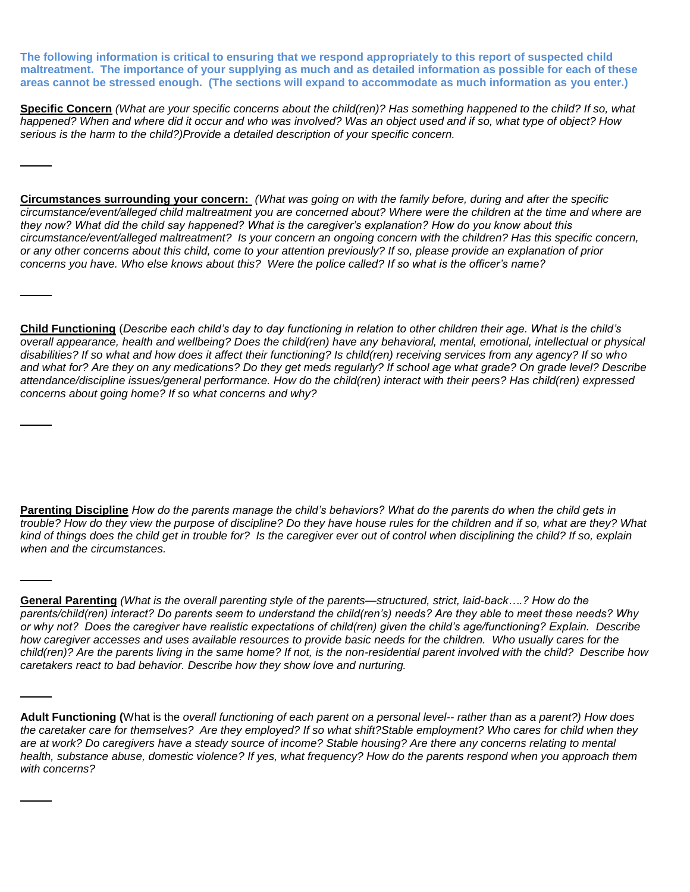**The following information is critical to ensuring that we respond appropriately to this report of suspected child maltreatment. The importance of your supplying as much and as detailed information as possible for each of these areas cannot be stressed enough. (The sections will expand to accommodate as much information as you enter.)** 

**Specific Concern** *(What are your specific concerns about the child(ren)? Has something happened to the child? If so, what happened? When and where did it occur and who was involved? Was an object used and if so, what type of object? How serious is the harm to the child?)Provide a detailed description of your specific concern.* 

**Circumstances surrounding your concern:** *(What was going on with the family before, during and after the specific circumstance/event/alleged child maltreatment you are concerned about? Where were the children at the time and where are they now? What did the child say happened? What is the caregiver's explanation? How do you know about this circumstance/event/alleged maltreatment? Is your concern an ongoing concern with the children? Has this specific concern, or any other concerns about this child, come to your attention previously? If so, please provide an explanation of prior concerns you have. Who else knows about this? Were the police called? If so what is the officer's name?*

**Child Functioning** (*Describe each child's day to day functioning in relation to other children their age. What is the child's overall appearance, health and wellbeing? Does the child(ren) have any behavioral, mental, emotional, intellectual or physical disabilities? If so what and how does it affect their functioning? Is child(ren) receiving services from any agency? If so who and what for? Are they on any medications? Do they get meds regularly? If school age what grade? On grade level? Describe attendance/discipline issues/general performance. How do the child(ren) interact with their peers? Has child(ren) expressed concerns about going home? If so what concerns and why?*

**Parenting Discipline** *How do the parents manage the child's behaviors? What do the parents do when the child gets in trouble? How do they view the purpose of discipline? Do they have house rules for the children and if so, what are they? What kind of things does the child get in trouble for? Is the caregiver ever out of control when disciplining the child? If so, explain when and the circumstances.*

**General Parenting** *(What is the overall parenting style of the parents—structured, strict, laid-back….? How do the parents/child(ren) interact? Do parents seem to understand the child(ren's) needs? Are they able to meet these needs? Why or why not? Does the caregiver have realistic expectations of child(ren) given the child's age/functioning? Explain. Describe how caregiver accesses and uses available resources to provide basic needs for the children. Who usually cares for the child(ren)? Are the parents living in the same home? If not, is the non-residential parent involved with the child? Describe how caretakers react to bad behavior. Describe how they show love and nurturing.*

**Adult Functioning (**What is the *overall functioning of each parent on a personal level-- rather than as a parent?) How does the caretaker care for themselves? Are they employed? If so what shift?Stable employment? Who cares for child when they are at work? Do caregivers have a steady source of income? Stable housing? Are there any concerns relating to mental health, substance abuse, domestic violence? If yes, what frequency? How do the parents respond when you approach them with concerns?*